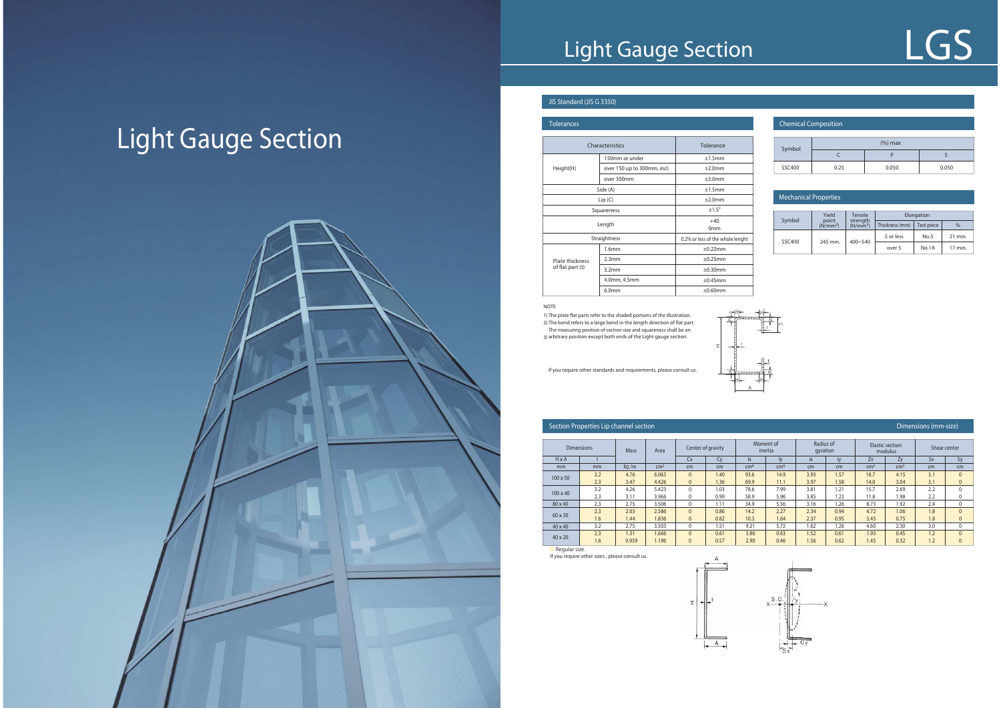## **Light Gauge Section**

**Section Properties Lip channel section**

### **JIS Standard (JIS G 3350)**

| <b>Tolerances</b>                                                                                                                                                                                                                                                                                                                                                       |                   |                                  |  |  |  |  |
|-------------------------------------------------------------------------------------------------------------------------------------------------------------------------------------------------------------------------------------------------------------------------------------------------------------------------------------------------------------------------|-------------------|----------------------------------|--|--|--|--|
| Tolerance<br>Characteristics<br>150mm or under<br>±1.5mm<br>Height(H)<br>over 150 up to 300mm, incl.<br>±2.0mm<br>over 300mm<br>±3.0mm<br>Side (A)<br>±1.5mm<br>±2.0mm<br>Lip(C)<br>$±1.5^\circ$<br>Squareness<br>$+40$<br>Length<br>0 <sub>mm</sub><br>Straightness<br>±0.22mm<br>1.6mm<br>2.3mm<br>±0.25mm<br>Plate thickness<br>of flat part (t)<br>±0.30mm<br>3.2mm |                   |                                  |  |  |  |  |
|                                                                                                                                                                                                                                                                                                                                                                         |                   |                                  |  |  |  |  |
|                                                                                                                                                                                                                                                                                                                                                                         |                   |                                  |  |  |  |  |
|                                                                                                                                                                                                                                                                                                                                                                         |                   |                                  |  |  |  |  |
|                                                                                                                                                                                                                                                                                                                                                                         |                   |                                  |  |  |  |  |
|                                                                                                                                                                                                                                                                                                                                                                         |                   |                                  |  |  |  |  |
|                                                                                                                                                                                                                                                                                                                                                                         |                   |                                  |  |  |  |  |
|                                                                                                                                                                                                                                                                                                                                                                         |                   |                                  |  |  |  |  |
|                                                                                                                                                                                                                                                                                                                                                                         |                   |                                  |  |  |  |  |
|                                                                                                                                                                                                                                                                                                                                                                         |                   | 0.2% or less of the whole lenght |  |  |  |  |
|                                                                                                                                                                                                                                                                                                                                                                         |                   |                                  |  |  |  |  |
|                                                                                                                                                                                                                                                                                                                                                                         |                   |                                  |  |  |  |  |
|                                                                                                                                                                                                                                                                                                                                                                         |                   |                                  |  |  |  |  |
|                                                                                                                                                                                                                                                                                                                                                                         | 4.0mm, 4.5mm      | $\pm 0.45$ mm                    |  |  |  |  |
|                                                                                                                                                                                                                                                                                                                                                                         | 6.0 <sub>mm</sub> | $\pm 0.60$ mm                    |  |  |  |  |

### **Chemical Composition**

|                 | <b>Dimensions</b> | <b>Mass</b> | Area            | Center of gravity |      |                        | Moment of<br>inertia | Radius of<br>qyration |      |                 | <b>Elastic section</b><br>modulus | Shear center |              |
|-----------------|-------------------|-------------|-----------------|-------------------|------|------------------------|----------------------|-----------------------|------|-----------------|-----------------------------------|--------------|--------------|
| $H \times A$    |                   |             |                 | Cx                | C٧   | $\mathsf{I}\mathsf{X}$ |                      | ix                    | IV   | Zx              | Zv                                | <b>Sx</b>    | Sy           |
| mm              | mm                | kg/m        | cm <sup>2</sup> | cm                | cm   | cm <sup>4</sup>        | cm <sup>4</sup>      | cm                    | cm   | cm <sup>3</sup> | $\text{cm}^3$                     | cm           | cm           |
| $100 \times 50$ | 3.2               | 4.76        | 6.063           | $\Omega$          | 1.40 | 93.6                   | 14.9                 | 3.93                  | 1.57 | 18.7            | 4.15                              | 3.1          | $\mathbf{0}$ |
|                 | 2.3               | 3.47        | 4.426           | $\Omega$          | 1.36 | 69.9                   | 11.1                 | 3.97                  | 1.58 | 14.0            | 3.04                              | 3.1          | $\mathbf{0}$ |
| $100 \times 40$ | 3.2               | 4.26        | 5.423           | $\mathbf{0}$      | 1.03 | 78.6                   | 7.99                 | 3.81                  | 1.21 | 15.7            | 2.69                              | 2.2          | 0            |
|                 | 2.3               | 3.11        | 3.966           | $\Omega$          | 0.99 | 58.9                   | 5.96                 | 3.85                  | 1.23 | 11.8            | 1.98                              | 2.2          | 0            |
| 80 x 40         | 2.3               | 2.75        | 3.506           | $\Omega$          | 1.11 | 34.9                   | 5.56                 | 3.16                  | 1.26 | 8.73            | 1.92                              | 2.4          | 0            |
| $60 \times 30$  | 2.3               | 2.03        | 2.586           | $\mathbf{0}$      | 0.86 | 14.2                   | 2.27                 | 2.34                  | 0.94 | 4.72            | 1.06                              | 1.8          | $\Omega$     |
|                 | 1.6               | 1.44        | 1.836           | $\mathbf{0}$      | 0.82 | 10.3                   | 1.64                 | 2.37                  | 0.95 | 3.45            | 0.75                              | 1.8          | $\mathbf{0}$ |
| $40 \times 40$  | 3.2               | 2.75        | 3.503           | $\mathbf{0}$      | 1.51 | 9.21                   | 5.72                 | 1.62                  | 1.28 | 4.60            | 2.30                              | 3.0          | $\Omega$     |
|                 | 2.3               | 1.31        | 1.666           | $\Omega$          | 0.61 | 3.86                   | 0.63                 | 1.52                  | 0.61 | 1.93            | 0.45                              | 1.2          | $\mathbf{0}$ |
| $40 \times 20$  | 1.6               | 0.939       | 1.196           | $\Omega$          | 0.57 | 2.90                   | 0.46                 | 1.56                  | 0.62 | 1.45            | 0.32                              | 1.2          | $\mathbf{0}$ |

If you require other sizes , please consult us. Regular size.



| Symbol | $%$ ) max |       |       |  |  |  |  |  |  |
|--------|-----------|-------|-------|--|--|--|--|--|--|
|        |           |       |       |  |  |  |  |  |  |
| SSC400 | 0.25      | 0.050 | 0.050 |  |  |  |  |  |  |

| Symbol | Yield                         | Tensile                          | Elongation     |                   |               |  |  |  |
|--------|-------------------------------|----------------------------------|----------------|-------------------|---------------|--|--|--|
|        | point<br>(N/mm <sup>2</sup> ) | strength<br>(N/mm <sup>2</sup> ) | Thickness (mm) | <b>Test piece</b> | $\frac{0}{0}$ |  |  |  |
| SSC400 |                               |                                  | 5 or less      | No.5              | 21 min.       |  |  |  |
|        | 245 min.                      | $400 - 540$                      | over 5         | No.1A             | 17 min.       |  |  |  |

#### **NOTE**

1) The plate flat parts refer to the shaded portions of the illustration. 2) The bend refers to a large bend in the length direction of flat part. The measuring position of section size and squareness shall be an 3) arbitrary position except both ends of the Light gauge section.

#### **Mechanical Properties**

### **Light Gauge Section**

If you require other standards and requirements, please consult us.

# **LGS**







#### **Dimensions (mm-size)**